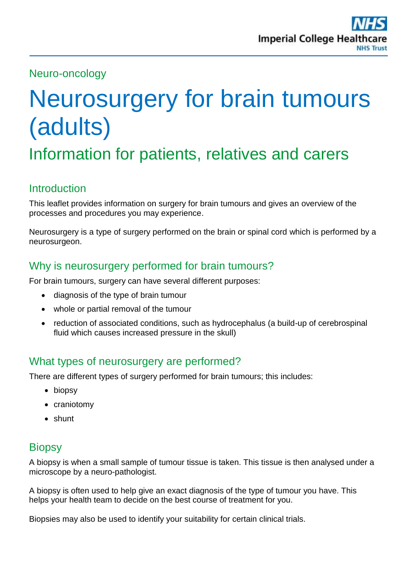## Neuro-oncology

# Neurosurgery for brain tumours (adults)

Information for patients, relatives and carers

# **Introduction**

This leaflet provides information on surgery for brain tumours and gives an overview of the processes and procedures you may experience.

Neurosurgery is a type of surgery performed on the brain or spinal cord which is performed by a neurosurgeon.

# Why is neurosurgery performed for brain tumours?

For brain tumours, surgery can have several different purposes:

- diagnosis of the type of brain tumour
- whole or partial removal of the tumour
- reduction of associated conditions, such as hydrocephalus (a build-up of cerebrospinal fluid which causes increased pressure in the skull)

# What types of neurosurgery are performed?

There are different types of surgery performed for brain tumours; this includes:

- biopsy
- craniotomy
- shunt

# **Biopsy**

A biopsy is when a small sample of tumour tissue is taken. This tissue is then analysed under a microscope by a neuro-pathologist.

A biopsy is often used to help give an exact diagnosis of the type of tumour you have. This helps your health team to decide on the best course of treatment for you.

Biopsies may also be used to identify your suitability for certain clinical trials.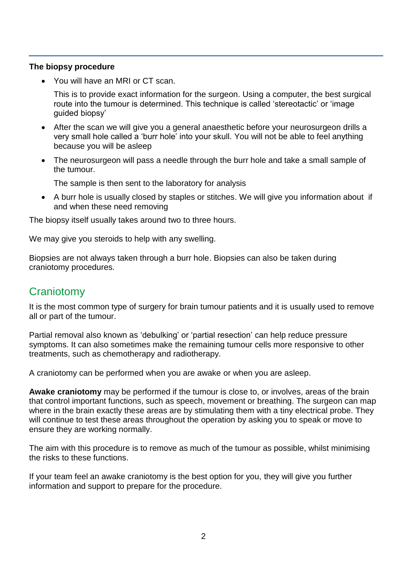#### **The biopsy procedure**

You will have an MRI or CT scan.

This is to provide exact information for the surgeon. Using a computer, the best surgical route into the tumour is determined. This technique is called 'stereotactic' or 'image guided biopsy'

- After the scan we will give you a general anaesthetic before your neurosurgeon drills a very small hole called a 'burr hole' into your skull. You will not be able to feel anything because you will be asleep
- The neurosurgeon will pass a needle through the burr hole and take a small sample of the tumour.

The sample is then sent to the laboratory for analysis

• A burr hole is usually closed by staples or stitches. We will give you information about if and when these need removing

The biopsy itself usually takes around two to three hours.

We may give you steroids to help with any swelling.

Biopsies are not always taken through a burr hole. Biopsies can also be taken during craniotomy procedures.

# **Craniotomy**

It is the most common type of surgery for brain tumour patients and it is usually used to remove all or part of the tumour.

Partial removal also known as 'debulking' or 'partial resection' can help reduce pressure symptoms. It can also sometimes make the remaining tumour cells more responsive to other treatments, such as chemotherapy and radiotherapy.

A craniotomy can be performed when you are awake or when you are asleep.

**Awake craniotomy** may be performed if the tumour is close to, or involves, areas of the brain that control important functions, such as speech, movement or breathing. The surgeon can map where in the brain exactly these areas are by stimulating them with a tiny electrical probe. They will continue to test these areas throughout the operation by asking you to speak or move to ensure they are working normally.

The aim with this procedure is to remove as much of the tumour as possible, whilst minimising the risks to these functions.

If your team feel an awake craniotomy is the best option for you, they will give you further information and support to prepare for the procedure.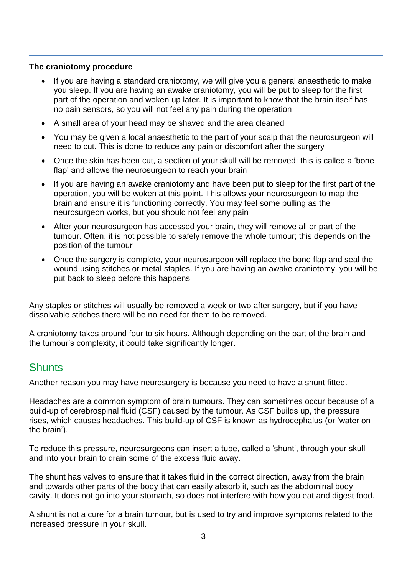#### **The craniotomy procedure**

- If you are having a standard craniotomy, we will give you a general anaesthetic to make you sleep. If you are having an awake craniotomy, you will be put to sleep for the first part of the operation and woken up later. It is important to know that the brain itself has no pain sensors, so you will not feel any pain during the operation
- A small area of your head may be shaved and the area cleaned
- You may be given a local anaesthetic to the part of your scalp that the neurosurgeon will need to cut. This is done to reduce any pain or discomfort after the surgery
- Once the skin has been cut, a section of your skull will be removed; this is called a 'bone flap' and allows the neurosurgeon to reach your brain
- If you are having an awake craniotomy and have been put to sleep for the first part of the operation, you will be woken at this point. This allows your neurosurgeon to map the brain and ensure it is functioning correctly. You may feel some pulling as the neurosurgeon works, but you should not feel any pain
- After your neurosurgeon has accessed your brain, they will remove all or part of the tumour. Often, it is not possible to safely remove the whole tumour; this depends on the position of the tumour
- Once the surgery is complete, your neurosurgeon will replace the bone flap and seal the wound using stitches or metal staples. If you are having an awake craniotomy, you will be put back to sleep before this happens

Any staples or stitches will usually be removed a week or two after surgery, but if you have dissolvable stitches there will be no need for them to be removed.

A craniotomy takes around four to six hours. Although depending on the part of the brain and the tumour's complexity, it could take significantly longer.

#### **Shunts**

Another reason you may have neurosurgery is because you need to have a shunt fitted.

Headaches are a common symptom of brain tumours. They can sometimes occur because of a build-up of cerebrospinal fluid (CSF) caused by the tumour. As CSF builds up, the pressure rises, which causes headaches. This build-up of CSF is known as hydrocephalus (or 'water on the brain').

To reduce this pressure, neurosurgeons can insert a tube, called a 'shunt', through your skull and into your brain to drain some of the excess fluid away.

The shunt has valves to ensure that it takes fluid in the correct direction, away from the brain and towards other parts of the body that can easily absorb it, such as the abdominal body cavity. It does not go into your stomach, so does not interfere with how you eat and digest food.

A shunt is not a cure for a brain tumour, but is used to try and improve symptoms related to the increased pressure in your skull.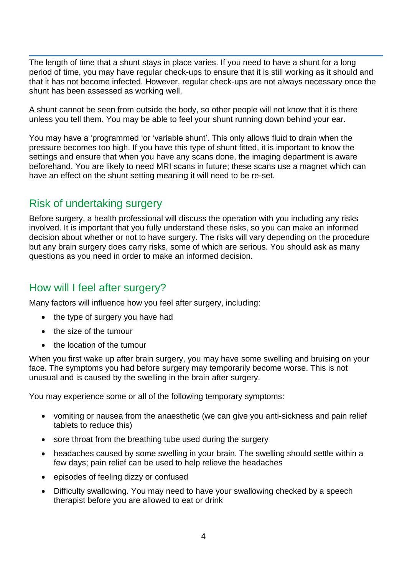The length of time that a shunt stays in place varies. If you need to have a shunt for a long period of time, you may have regular check-ups to ensure that it is still working as it should and that it has not become infected. However, regular check-ups are not always necessary once the shunt has been assessed as working well.

A shunt cannot be seen from outside the body, so other people will not know that it is there unless you tell them. You may be able to feel your shunt running down behind your ear.

You may have a 'programmed 'or 'variable shunt'. This only allows fluid to drain when the pressure becomes too high. If you have this type of shunt fitted, it is important to know the settings and ensure that when you have any scans done, the imaging department is aware beforehand. You are likely to need MRI scans in future; these scans use a magnet which can have an effect on the shunt setting meaning it will need to be re-set.

# Risk of undertaking surgery

Before surgery, a health professional will discuss the operation with you including any risks involved. It is important that you fully understand these risks, so you can make an informed decision about whether or not to have surgery. The risks will vary depending on the procedure but any brain surgery does carry risks, some of which are serious. You should ask as many questions as you need in order to make an informed decision.

#### How will I feel after surgery?

Many factors will influence how you feel after surgery, including:

- the type of surgery you have had
- the size of the tumour
- the location of the tumour

When you first wake up after brain surgery, you may have some swelling and bruising on your face. The symptoms you had before surgery may temporarily become worse. This is not unusual and is caused by the swelling in the brain after surgery.

You may experience some or all of the following temporary symptoms:

- vomiting or nausea from the anaesthetic (we can give you anti-sickness and pain relief tablets to reduce this)
- sore throat from the breathing tube used during the surgery
- headaches caused by some swelling in your brain. The swelling should settle within a few days; pain relief can be used to help relieve the headaches
- episodes of feeling dizzy or confused
- Difficulty swallowing. You may need to have your swallowing checked by a speech therapist before you are allowed to eat or drink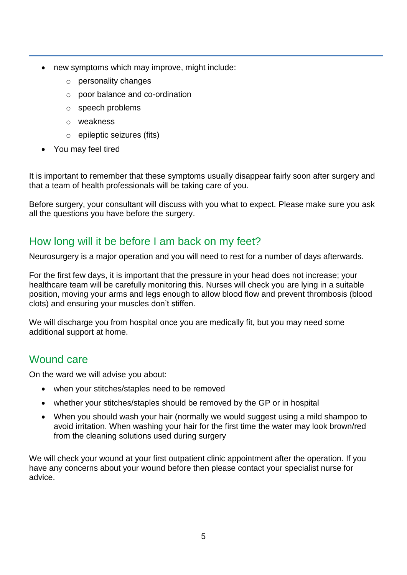- new symptoms which may improve, might include:
	- o personality changes
	- o poor balance and co-ordination
	- o speech problems
	- o weakness
	- o epileptic seizures (fits)
- You may feel tired

It is important to remember that these symptoms usually disappear fairly soon after surgery and that a team of health professionals will be taking care of you.

Before surgery, your consultant will discuss with you what to expect. Please make sure you ask all the questions you have before the surgery.

# How long will it be before I am back on my feet?

Neurosurgery is a major operation and you will need to rest for a number of days afterwards.

For the first few days, it is important that the pressure in your head does not increase; your healthcare team will be carefully monitoring this. Nurses will check you are lying in a suitable position, moving your arms and legs enough to allow blood flow and prevent thrombosis (blood clots) and ensuring your muscles don't stiffen.

We will discharge you from hospital once you are medically fit, but you may need some additional support at home.

# Wound care

On the ward we will advise you about:

- when your stitches/staples need to be removed
- whether your stitches/staples should be removed by the GP or in hospital
- When you should wash your hair (normally we would suggest using a mild shampoo to avoid irritation. When washing your hair for the first time the water may look brown/red from the cleaning solutions used during surgery

We will check your wound at your first outpatient clinic appointment after the operation. If you have any concerns about your wound before then please contact your specialist nurse for advice.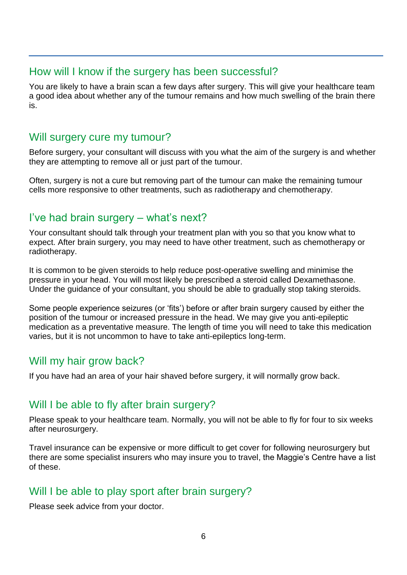#### How will I know if the surgery has been successful?

You are likely to have a brain scan a few days after surgery. This will give your healthcare team a good idea about whether any of the tumour remains and how much swelling of the brain there is.

#### Will surgery cure my tumour?

Before surgery, your consultant will discuss with you what the aim of the surgery is and whether they are attempting to remove all or just part of the tumour.

Often, surgery is not a cure but removing part of the tumour can make the remaining tumour cells more responsive to other treatments, such as radiotherapy and chemotherapy.

## I've had brain surgery – what's next?

Your consultant should talk through your treatment plan with you so that you know what to expect. After brain surgery, you may need to have other treatment, such as chemotherapy or radiotherapy.

It is common to be given steroids to help reduce post-operative swelling and minimise the pressure in your head. You will most likely be prescribed a steroid called Dexamethasone. Under the guidance of your consultant, you should be able to gradually stop taking steroids.

Some people experience seizures (or 'fits') before or after brain surgery caused by either the position of the tumour or increased pressure in the head. We may give you anti-epileptic medication as a preventative measure. The length of time you will need to take this medication varies, but it is not uncommon to have to take anti-epileptics long-term.

#### Will my hair grow back?

If you have had an area of your hair shaved before surgery, it will normally grow back.

# Will I be able to fly after brain surgery?

Please speak to your healthcare team. Normally, you will not be able to fly for four to six weeks after neurosurgery.

Travel insurance can be expensive or more difficult to get cover for following neurosurgery but there are some specialist insurers who may insure you to travel, the Maggie's Centre have a list of these.

# Will I be able to play sport after brain surgery?

Please seek advice from your doctor.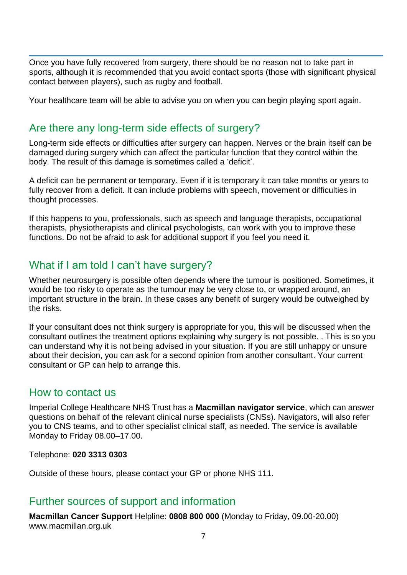Once you have fully recovered from surgery, there should be no reason not to take part in sports, although it is recommended that you avoid contact sports (those with significant physical contact between players), such as rugby and football.

Your healthcare team will be able to advise you on when you can begin playing sport again.

## Are there any long-term side effects of surgery?

Long-term side effects or difficulties after surgery can happen. Nerves or the brain itself can be damaged during surgery which can affect the particular function that they control within the body. The result of this damage is sometimes called a 'deficit'.

A deficit can be permanent or temporary. Even if it is temporary it can take months or years to fully recover from a deficit. It can include problems with speech, movement or difficulties in thought processes.

If this happens to you, professionals, such as speech and language therapists, occupational therapists, physiotherapists and clinical psychologists, can work with you to improve these functions. Do not be afraid to ask for additional support if you feel you need it.

# What if I am told I can't have surgery?

Whether neurosurgery is possible often depends where the tumour is positioned. Sometimes, it would be too risky to operate as the tumour may be very close to, or wrapped around, an important structure in the brain. In these cases any benefit of surgery would be outweighed by the risks.

If your consultant does not think surgery is appropriate for you, this will be discussed when the consultant outlines the treatment options explaining why surgery is not possible. . This is so you can understand why it is not being advised in your situation. If you are still unhappy or unsure about their decision, you can ask for a second opinion from another consultant. Your current consultant or GP can help to arrange this.

#### How to contact us

Imperial College Healthcare NHS Trust has a **Macmillan navigator service**, which can answer questions on behalf of the relevant clinical nurse specialists (CNSs). Navigators, will also refer you to CNS teams, and to other specialist clinical staff, as needed. The service is available Monday to Friday 08.00–17.00.

Telephone: **020 3313 0303** 

Outside of these hours, please contact your GP or phone NHS 111.

#### Further sources of support and information

**Macmillan Cancer Support** Helpline: **0808 800 000** (Monday to Friday, 09.00-20.00) www.macmillan.org.uk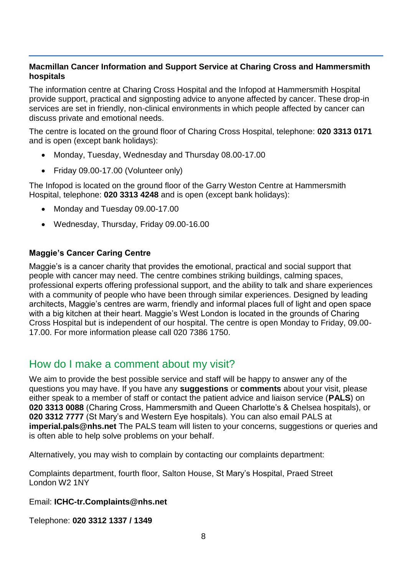#### **Macmillan Cancer Information and Support Service at Charing Cross and Hammersmith hospitals**

The information centre at Charing Cross Hospital and the Infopod at Hammersmith Hospital provide support, practical and signposting advice to anyone affected by cancer. These drop-in services are set in friendly, non-clinical environments in which people affected by cancer can discuss private and emotional needs.

The centre is located on the ground floor of Charing Cross Hospital, telephone: **020 3313 0171** and is open (except bank holidays):

- Monday, Tuesday, Wednesday and Thursday 08.00-17.00
- Friday 09.00-17.00 (Volunteer only)

The Infopod is located on the ground floor of the Garry Weston Centre at Hammersmith Hospital, telephone: **020 3313 4248** and is open (except bank holidays):

- Monday and Tuesday 09.00-17.00
- Wednesday, Thursday, Friday 09.00-16.00

#### **Maggie's Cancer Caring Centre**

Maggie's is a cancer charity that provides the emotional, practical and social support that people with cancer may need. The centre combines striking buildings, calming spaces, professional experts offering professional support, and the ability to talk and share experiences with a community of people who have been through similar experiences. Designed by leading architects, Maggie's centres are warm, friendly and informal places full of light and open space with a big kitchen at their heart. Maggie's West London is located in the grounds of Charing Cross Hospital but is independent of our hospital. The centre is open Monday to Friday, 09.00- 17.00. For more information please call 020 7386 1750.

# How do I make a comment about my visit?

We aim to provide the best possible service and staff will be happy to answer any of the questions you may have. If you have any **suggestions** or **comments** about your visit, please either speak to a member of staff or contact the patient advice and liaison service (**PALS**) on **020 3313 0088** (Charing Cross, Hammersmith and Queen Charlotte's & Chelsea hospitals), or **020 3312 7777** (St Mary's and Western Eye hospitals). You can also email PALS at **imperial.pals@nhs.net** The PALS team will listen to your concerns, suggestions or queries and is often able to help solve problems on your behalf.

Alternatively, you may wish to complain by contacting our complaints department:

Complaints department, fourth floor, Salton House, St Mary's Hospital, Praed Street London W2 1NY

Email: **ICHC-tr.Complaints@nhs.net** 

Telephone: **020 3312 1337 / 1349**